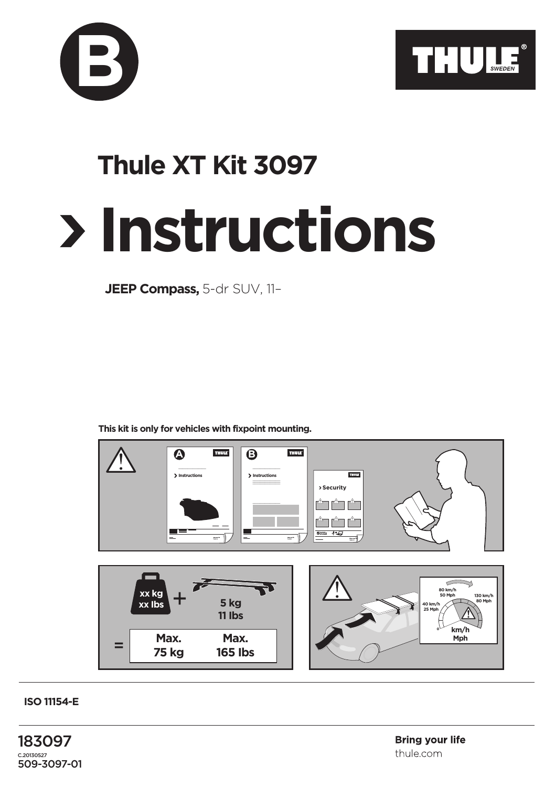



## **Instructions Thule XT Kit 3097**

**JEEP Compass,** 5-dr SUV, 11–

**This kit is only for vehicles with fixpoint mounting.**



**ISO 11154-E**

183097 C.20130527 509-3097-01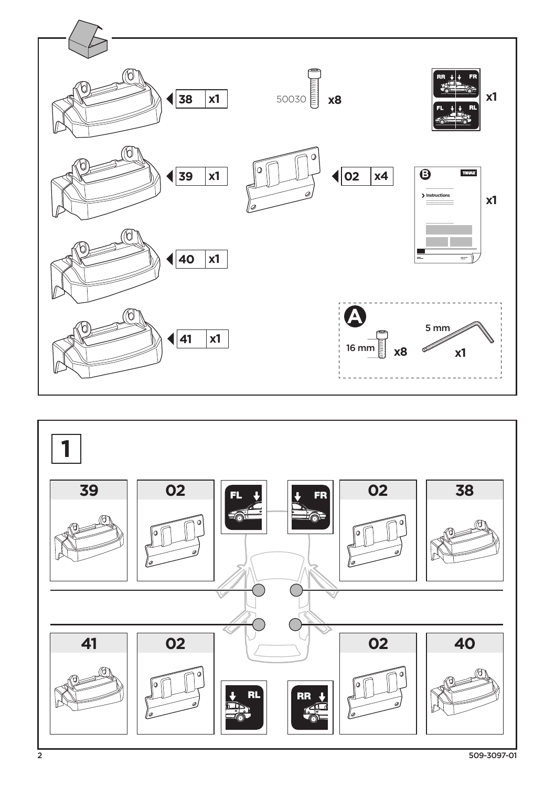

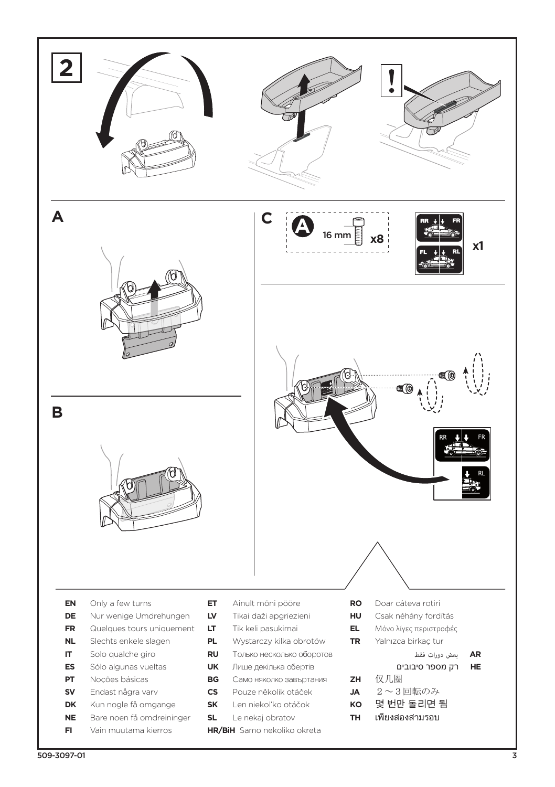![](_page_2_Picture_0.jpeg)